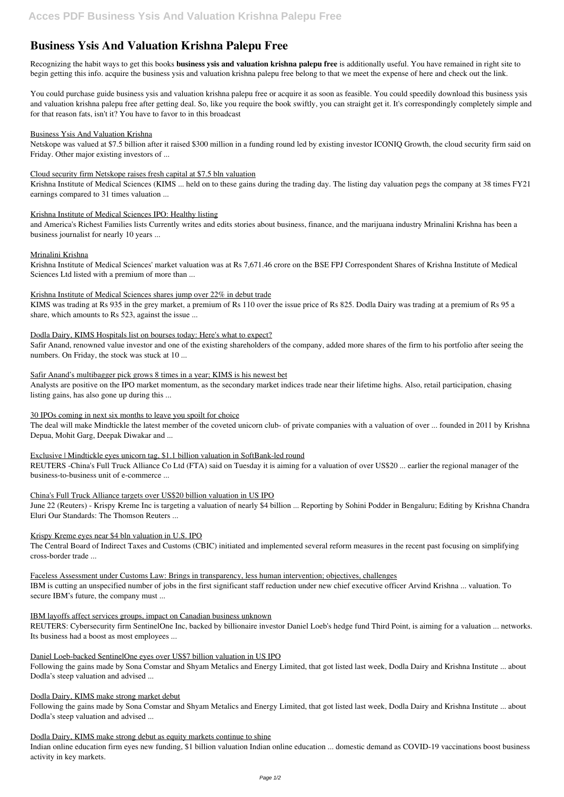# **Business Ysis And Valuation Krishna Palepu Free**

Recognizing the habit ways to get this books **business ysis and valuation krishna palepu free** is additionally useful. You have remained in right site to begin getting this info. acquire the business ysis and valuation krishna palepu free belong to that we meet the expense of here and check out the link.

You could purchase guide business ysis and valuation krishna palepu free or acquire it as soon as feasible. You could speedily download this business ysis and valuation krishna palepu free after getting deal. So, like you require the book swiftly, you can straight get it. It's correspondingly completely simple and for that reason fats, isn't it? You have to favor to in this broadcast

## Business Ysis And Valuation Krishna

Netskope was valued at \$7.5 billion after it raised \$300 million in a funding round led by existing investor ICONIQ Growth, the cloud security firm said on Friday. Other major existing investors of ...

## Cloud security firm Netskope raises fresh capital at \$7.5 bln valuation

Krishna Institute of Medical Sciences (KIMS ... held on to these gains during the trading day. The listing day valuation pegs the company at 38 times FY21 earnings compared to 31 times valuation ...

# Krishna Institute of Medical Sciences IPO: Healthy listing

and America's Richest Families lists Currently writes and edits stories about business, finance, and the marijuana industry Mrinalini Krishna has been a business journalist for nearly 10 years ...

## Mrinalini Krishna

Krishna Institute of Medical Sciences' market valuation was at Rs 7,671.46 crore on the BSE FPJ Correspondent Shares of Krishna Institute of Medical Sciences Ltd listed with a premium of more than ...

## Krishna Institute of Medical Sciences shares jump over 22% in debut trade

KIMS was trading at Rs 935 in the grey market, a premium of Rs 110 over the issue price of Rs 825. Dodla Dairy was trading at a premium of Rs 95 a share, which amounts to Rs 523, against the issue ...

# Dodla Dairy, KIMS Hospitals list on bourses today: Here's what to expect?

Safir Anand, renowned value investor and one of the existing shareholders of the company, added more shares of the firm to his portfolio after seeing the numbers. On Friday, the stock was stuck at 10 ...

#### Safir Anand's multibagger pick grows 8 times in a year; KIMS is his newest bet

Analysts are positive on the IPO market momentum, as the secondary market indices trade near their lifetime highs. Also, retail participation, chasing listing gains, has also gone up during this ...

# 30 IPOs coming in next six months to leave you spoilt for choice

The deal will make Mindtickle the latest member of the coveted unicorn club- of private companies with a valuation of over ... founded in 2011 by Krishna Depua, Mohit Garg, Deepak Diwakar and ...

# Exclusive | Mindtickle eyes unicorn tag, \$1.1 billion valuation in SoftBank-led round

REUTERS -China's Full Truck Alliance Co Ltd (FTA) said on Tuesday it is aiming for a valuation of over US\$20 ... earlier the regional manager of the business-to-business unit of e-commerce ...

# China's Full Truck Alliance targets over US\$20 billion valuation in US IPO

June 22 (Reuters) - Krispy Kreme Inc is targeting a valuation of nearly \$4 billion ... Reporting by Sohini Podder in Bengaluru; Editing by Krishna Chandra Eluri Our Standards: The Thomson Reuters ...

# Krispy Kreme eyes near \$4 bln valuation in U.S. IPO

The Central Board of Indirect Taxes and Customs (CBIC) initiated and implemented several reform measures in the recent past focusing on simplifying cross-border trade ...

# Faceless Assessment under Customs Law: Brings in transparency, less human intervention; objectives, challenges

IBM is cutting an unspecified number of jobs in the first significant staff reduction under new chief executive officer Arvind Krishna ... valuation. To secure IBM's future, the company must ...

#### IBM layoffs affect services groups, impact on Canadian business unknown

REUTERS: Cybersecurity firm SentinelOne Inc, backed by billionaire investor Daniel Loeb's hedge fund Third Point, is aiming for a valuation ... networks. Its business had a boost as most employees ...

#### Daniel Loeb-backed SentinelOne eyes over US\$7 billion valuation in US IPO

Following the gains made by Sona Comstar and Shyam Metalics and Energy Limited, that got listed last week, Dodla Dairy and Krishna Institute ... about Dodla's steep valuation and advised ...

#### Dodla Dairy, KIMS make strong market debut

Following the gains made by Sona Comstar and Shyam Metalics and Energy Limited, that got listed last week, Dodla Dairy and Krishna Institute ... about Dodla's steep valuation and advised ...

#### Dodla Dairy, KIMS make strong debut as equity markets continue to shine

Indian online education firm eyes new funding, \$1 billion valuation Indian online education ... domestic demand as COVID-19 vaccinations boost business activity in key markets.